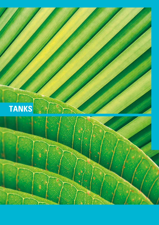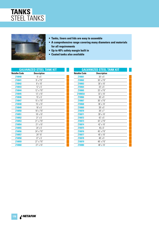



- **Tanks, liners and lids are easy to assemble**
- **A comprehensive range covering many diameters and materials for all requirements**
- **Up to 40% safety margin built in**
- **Coated tanks also available**

|  | <b>GALVANIZED STEEL TANK KIT</b> |
|--|----------------------------------|
|  |                                  |
|  |                                  |

| <b>Netafim Code</b> | <b>Description</b> |  |
|---------------------|--------------------|--|
| Z10040              | $9'$ x 5'          |  |
| Z10041              | $9'$ x 7'6"        |  |
| Z10042              | $9'$ x $10'$       |  |
| Z10043              | $12' \times 5'$    |  |
| Z10044              | $12' \times 7'6''$ |  |
| Z10045              | 12' x 10'          |  |
| Z10046              | $15' \times 5'$    |  |
| Z10047              | 15' x 7'6"         |  |
| Z10048              | 15' x 10'          |  |
| Z10049              | 18' x 5'           |  |
| Z10050              | 18' x 7'6"         |  |
| Z10051              | $18' \times 10'$   |  |
| Z10052              | $21' \times 5'$    |  |
| Z10053              | 21' x 7'6"         |  |
| Z10054              | 21' x 10'          |  |
| Z10055              | 24' x 5'           |  |
| Z10056              | 24' x 7'6"         |  |
| Z10057              | 24' 10'            |  |
| Z10058              | $27' \times 5'$    |  |
| Z10059              | $27' \times 7'6''$ |  |
| Z10060              | 27' x 10'          |  |

| <b>GALVANIZED STEEL TANK KIT</b> |                    |  |
|----------------------------------|--------------------|--|
| <b>Netafim Code</b>              | <b>Description</b> |  |
| Z10061                           | $30'$ x $5'$       |  |
| Z10062                           | 30' x 7'6"         |  |
| Z10063                           | $30' \times 10'$   |  |
| Z10064                           | 33' x 5'           |  |
| Z10065                           | 33' x 7'6"         |  |
| Z10065A                          | 33' x 10'          |  |
| <b>Z10066</b>                    | $36' \times 5'$    |  |
| Z10067                           | $36' \times 7'6''$ |  |
| Z10068                           | $36' \times 10'$   |  |
| Z10069                           | $39' \times 5'$    |  |
| Z10070                           | $39' \times 7'$    |  |
| Z10071                           | 39' x 10'          |  |
| Z10072                           | 42' x 5'           |  |
| Z10073                           | 42' x 7'6"         |  |
| Z10074                           | 42' x 10'          |  |
| Z10075                           | $45 \times 5'$     |  |
| Z10076                           | 45' x 7'6"         |  |
| Z10077                           | 45' x 10'          |  |
| Z10078                           | 48' x 5'           |  |
| Z10079                           | 48' x 7'6"         |  |
| Z10080                           | 48' x 10'          |  |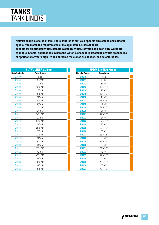

**Netafim supply a choice of tank liners, tailored to suit your specific size of tank and selected specially to match the requirements of the application. Liners that are suitable for chlorinated water, potable water, RO water, recycled and even dirty water are available. Special applications, where the water is chemically treated in a warm greenhouse, or applications where high UV and abrasion resistance are needed, can be catered for.**

|                     | <b>BUTYL LINER 0.75mm</b> |
|---------------------|---------------------------|
| <b>Netafim Code</b> | <b>Description</b>        |
| Z10100              | $9'$ x $5'$               |
| Z10101              | $9'$ x 7'6"               |
| Z10102              | $12' \times 5'$           |
| Z10103              | 12' x 7'6"                |
| Z10104              | $15' \times 5'$           |
| Z10105              | 15' x 7'6"                |
| Z10106              | 18' x 5'                  |
| Z10107              | 18' x 7'6"                |
| Z10108              | $21' \times 5'$           |
| Z10109              | 21' x 7'6"                |
| Z10110              | 24' x 5'                  |
| Z10111              | 24' x 7'6"                |
| Z10112              | $27'$ x 5'                |
| Z10113              | 27' x 7'6"                |
| Z10114              | $30'$ x $5'$              |
| Z10115              | 30' x 7'6"                |
| Z10116              | $33' \times 5'$           |
| Z10117              | 33' x 7'6"                |
| Z10118              | $36' \times 5'$           |
| Z10119              | 36' x 7'6"                |
| Z10120              | 39' x 5'                  |
| Z10121              | 39' x 7'6"                |
| Z10122              | 42' x 5'                  |
| Z10123              | 42' x 7'6"                |
| Z10124              | 45' x 5'                  |
| Z10125              | 45' x 7'6"                |
| Z10126              | 48' x 5'                  |
| Z10127              | 48' x 7'6"                |

|                     | <b>EPDM LINER 0.75mm</b> |
|---------------------|--------------------------|
| <b>Netafim Code</b> | <b>Description</b>       |
| Z10210              | $9'$ x $5'$              |
| Z10211              | $9'$ x $7'6''$           |
| Z10212              | $12' \times 5'$          |
| Z10213              | 12' x 7'6"               |
| Z10214              | $15' \times 5'$          |
| Z10215              | 15' x 7'6"               |
| Z10216              | 18' x 5'                 |
| Z10217              | 18' x 7'6"               |
| Z10218              | $21' \times 5'$          |
| Z10219              | 21' x 7'6"               |
| Z10220              | 24' x 5'                 |
| Z10221              | 24' x 7'6"               |
| Z10222              | $27' \times 5'$          |
| Z10223              | 27' x 7'6"               |
| Z10224              | $30'$ x $5'$             |
| Z10225              | 30' x 7'6"               |
| Z10226              | $33' \times 5'$          |
| Z10227              | 33' x 7'6"               |
| Z10228              | 36' x 5'                 |
| Z10229              | 36' x 7'6"               |
| Z10230              | 39' x 5'                 |
| Z10231              | 39' x 7'6"               |
| Z10232              | 42' x 5'                 |
| Z10233              | 42' x 7'6"               |
| Z10234              | 45' x 5'                 |
| Z10235              | 45' x 7'6"               |
| Z10236              | 48' x 5'                 |
| Z10237              | 48' x 7'6"               |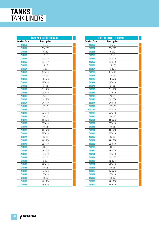

|                     | <b>BUTYL LINER 1.00mm</b> |
|---------------------|---------------------------|
| <b>Netafim Code</b> | <b>Description</b>        |
| Z10150              | $9'$ x $5'$               |
| Z10151              | $9'$ x 7'6"               |
| Z10152              | $9'$ x $10'$              |
| Z10153              | 12' x 5'                  |
| Z10154              | 12' x 7'6"                |
| Z10155              | 12' x 10'                 |
| Z10156              | $15'$ x $5'$              |
| Z10157              | 15' x 7'6"                |
| Z10158              | 15' x 10'                 |
| Z10159              | 18' x 5'                  |
| Z10160              | 18' x 7'6"                |
| Z10161              | 18' x 10'                 |
| Z10162              | $21' \times 5'$           |
| Z10163              | 21' x 7'6"                |
| Z10164              | 21' x 10'                 |
| Z10165              | 24' x 5'                  |
| Z10166              | 24' x 7'6"                |
| Z10167              | 24' x 10'                 |
| Z10168              | $27' \times 5'$           |
| Z10169              | 27' x 7'6"                |
| Z10170              | 27' x 10'                 |
| Z10171              | $30'$ x $5'$              |
| Z10172              | 30' x 7'6"                |
| Z10173              | 30' x 10'                 |
| Z10174              | 33' x 5'                  |
| Z10175              | 33' x 7'6"                |
| Z10176              | 33' x 10'                 |
| Z10177              | 36' x 5'                  |
| Z10178              | 36' x 7'6"                |
| Z10179              | 36' x 10'                 |
| Z10180              | 39' x 5'                  |
| Z10181              | 39' x 7'6"                |
| Z10182              | 39' x 10'                 |
| Z10183              | 42' x 5'                  |
| Z10184              | 42' x 7'6"                |
| Z10185              | 42' x 10'                 |
| Z10186              | 45' x 5'                  |
| Z10187              | 45' x 7'6"                |
| Z10188              | 45' x 10'                 |
| Z10189              | 48' x 5'                  |
| Z10190              | 48' x 7'6"                |
| Z10191              | 48' x 10'                 |

|                     | <b>EPDM LINER 1.00mm</b> |
|---------------------|--------------------------|
| <b>Netafim Code</b> | <b>Description</b>       |
| Z10260              | $9'$ x $5'$              |
| Z10261              | $9'$ x 7'6"              |
| Z10262              | $9'$ x $10'$             |
| Z10263              | $12' \times 5'$          |
| Z10264              | 12' x 7'6"               |
| Z10265              | 12' x 10'                |
| Z10266              | $15'$ x $5'$             |
| Z10267              | 15' x 7'6"               |
| Z10268              | 15' x 10"                |
| Z10269              | 18' x 5'                 |
| Z10270              | 18' x 7'6"               |
| Z10271              | 18' x 10'                |
| Z10272              | $21' \times 5'$          |
| Z10273              | 21' x 7'6"               |
| Z10274              | $21' \times 10'$         |
| Z10275              | 24' x 5'                 |
| Z10276              | 24' x 7'6"               |
| Z10277              | 24' x 10'                |
| Z10278              | 27' x 5'                 |
| Z10278A             | 27' x 7'6"               |
| Z10279              | 27' x 10'                |
| Z10280              | 30' x 5'                 |
| Z10281              | 30' x 7'6"               |
| Z10282              | 30' x 10'                |
| Z10283              | $33' \times 5'$          |
| Z10284              | 33' x 7'6"               |
| Z10285              | 33' x 10'                |
| Z10286              | 36' x 5'                 |
| Z10287              | 36' x 7'6"               |
| Z10288              | 36' x 10'                |
| Z10289              | $39'$ x $5'$             |
| Z10290              | 39' x 7'6"               |
| Z10291              | 39' x 10'                |
| Z10292              | 42' x 5'                 |
| Z10293              | 42' x 7'6"               |
| Z10294              | 42' x 10'                |
| Z10295              | 45' x 5'                 |
| Z10296              | 45' x 7'6"               |
| Z10297              | 45' x 10'                |
| Z10298              | 48' x 5'                 |
| Z10299              | 48' x 7'6"               |
| Z10300              | 48' x 10'                |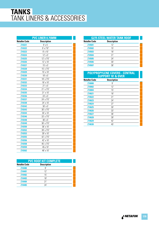## **TANKS** TANK LINERS & ACCESSORIES

|                     | <b>PVC LINER 0.75MM</b> |
|---------------------|-------------------------|
| <b>Netafim Code</b> | <b>Description</b>      |
| Z10321              | $9'$ x $5'$             |
| Z10322              | $9'$ x 7'6"             |
| Z10323              | $9'$ x $10'$            |
| Z10324              | $12' \times 5'$         |
| Z10325              | 12' x 7'6"              |
| <b>Z10326</b>       | 12' x 10'               |
| Z10327              | 15' x 5'                |
| Z10328              | 15' x 7'6"              |
| Z10329              | 15' x 10'               |
| Z10330              | 18' x 5'                |
| Z10331              | 18' x 7'6"              |
| Z10332              | 18' x 10'               |
| Z10333              | $21' \times 5'$         |
| Z10334              | 21' x 7'6"              |
| Z10335              | 21' x 10'               |
| Z10336              | 24' x 5'                |
| Z10337              | 24' x 7'6"              |
| Z10338              | 24' x 10'               |
| Z10342              | $30'$ x $5'$            |
| Z10343              | 30' x 7'6"              |
| Z10344              | 30' x 10'               |
| Z10346              | 33' x 7'6"              |
| Z10348              | 36' x 5'                |
| Z10349              | 36' x 7'6"              |
| Z10350              | 36' x 10'               |
| Z10352              | 39' x 7'6"              |
| Z10353              | 39' x 10'               |
| Z10355              | 42' x 7'6"              |
| Z10356              | 42' x 10'               |
| Z10358              | 45' x 7'6"              |
| Z10359              | 45 x 10'                |
| Z10362              | 48' x 10'               |

| <b>PVC ROOF KIT COMPLETE</b> |                    |  |
|------------------------------|--------------------|--|
| <b>Netafim Code</b>          | <b>Description</b> |  |
| Z10480                       | g                  |  |
| Z10481                       | 12'                |  |
| Z10482                       | 15'                |  |
| Z10483                       | 18'                |  |
| Z10484                       | 21'                |  |
| Z10485                       | 74'                |  |

| <b>G275 STEEL WATER TANK ROOF</b> |                    |  |
|-----------------------------------|--------------------|--|
| <b>Netafim Code</b>               | <b>Description</b> |  |
| Z10501                            | 12'                |  |
| Z10502                            | 15'                |  |
| Z10503                            | 18'                |  |
| Z10504                            | 21'                |  |
| Z10505                            | 24'                |  |
| Z10506                            | 30'                |  |
| Z10507                            | 36'                |  |
|                                   |                    |  |

## **POLYPROPYLENE COVERS - CENTRAL SUPPORT 18' & OVER**

| <b>Netafim Code</b> | <b>Description</b> |  |
|---------------------|--------------------|--|
| Z10000              | g                  |  |
| Z10002              | 12'                |  |
| Z10004              | 15'                |  |
| Z10621              | 18'                |  |
| Z10622              | 21'                |  |
| Z10623              | 24'                |  |
| Z10624              | 27'                |  |
| Z10625              | 30'                |  |
| Z10626              | 33'                |  |
| Z10627              | 36'                |  |
| Z10628              | 39'                |  |
| Z10629              | 42'                |  |
| Z10630              | 45'                |  |
|                     |                    |  |

A<sup>&</sup> NETAFIM **179**